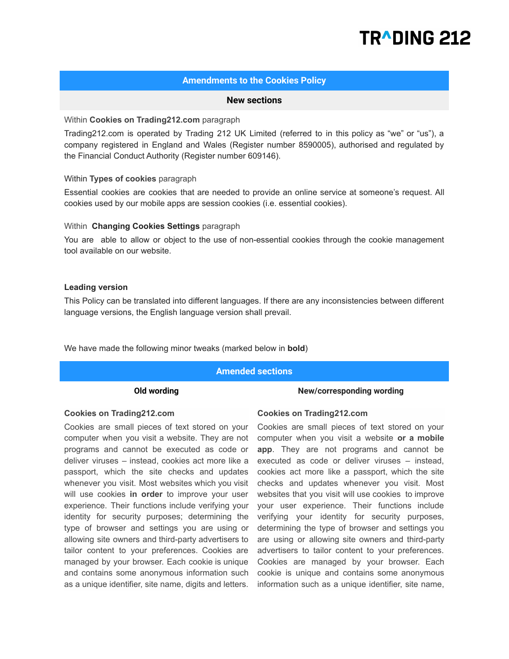# TRADING 212

# **Amendments to the Cookies Policy**

# **New sections**

# Within **Cookies on Trading212.com** paragraph

Trading212.com is operated by Trading 212 UK Limited (referred to in this policy as "we" or "us"), a company registered in England and Wales (Register number 8590005), authorised and regulated by the Financial Conduct Authority (Register number 609146).

# Within **Types of cookies** paragraph

Essential cookies are cookies that are needed to provide an online service at someone's request. All cookies used by оur mobile apps are session cookies (i.e. essential cookies).

# Within **Changing Cookies Settings** paragraph

You are able to allow or object to the use of non-essential cookies through the cookie management tool available on our website.

# **Leading version**

This Policy can be translated into different languages. If there are any inconsistencies between different language versions, the English language version shall prevail.

We have made the following minor tweaks (marked below in **bold**)

# **Amended sections**

# **Old wording New/corresponding wording**

### **Cookies on Trading212.com**

Cookies are small pieces of text stored on your computer when you visit a website. They are not programs and cannot be executed as code or deliver viruses – instead, cookies act more like a passport, which the site checks and updates whenever you visit. Most websites which you visit will use cookies **in order** to improve your user experience. Their functions include verifying your identity for security purposes; determining the type of browser and settings you are using or allowing site owners and third-party advertisers to tailor content to your preferences. Cookies are managed by your browser. Each cookie is unique and contains some anonymous information such as a unique identifier, site name, digits and letters.

### **Cookies on Trading212.com**

Cookies are small pieces of text stored on your computer when you visit a website **or a mobile app**. They are not programs and cannot be executed as code or deliver viruses – instead, cookies act more like a passport, which the site checks and updates whenever you visit. Most websites that you visit will use cookies to improve your user experience. Their functions include verifying your identity for security purposes, determining the type of browser and settings you are using or allowing site owners and third-party advertisers to tailor content to your preferences. Cookies are managed by your browser. Each cookie is unique and contains some anonymous information such as a unique identifier, site name,